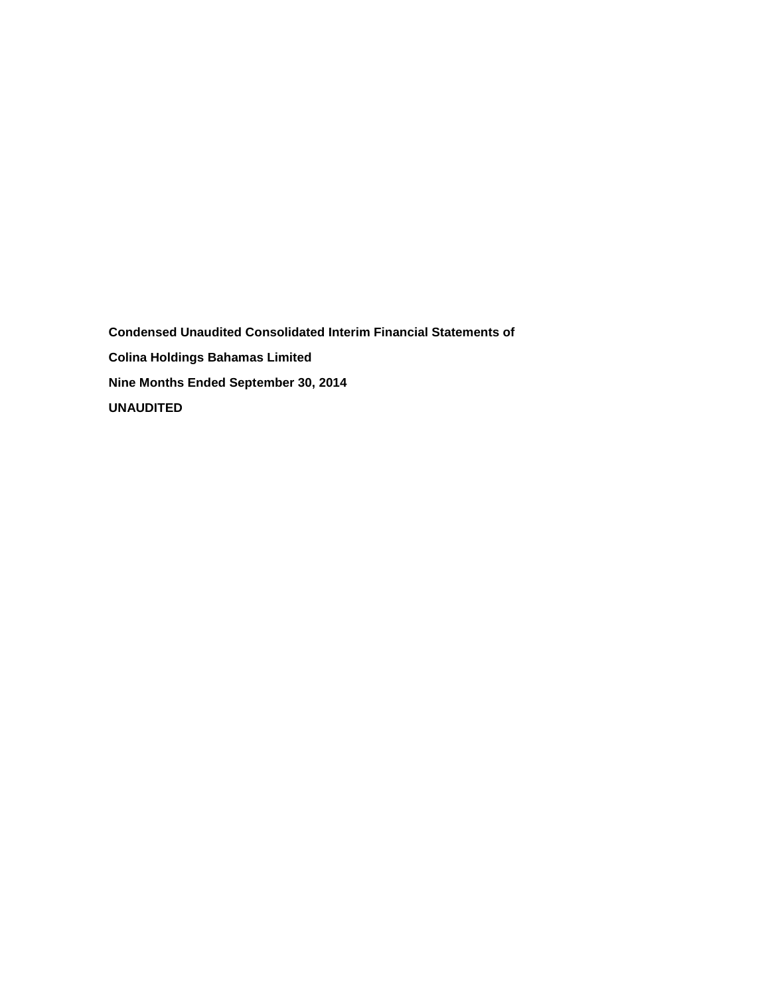**Condensed Unaudited Consolidated Interim Financial Statements of Colina Holdings Bahamas Limited Nine Months Ended September 30, 2014 UNAUDITED**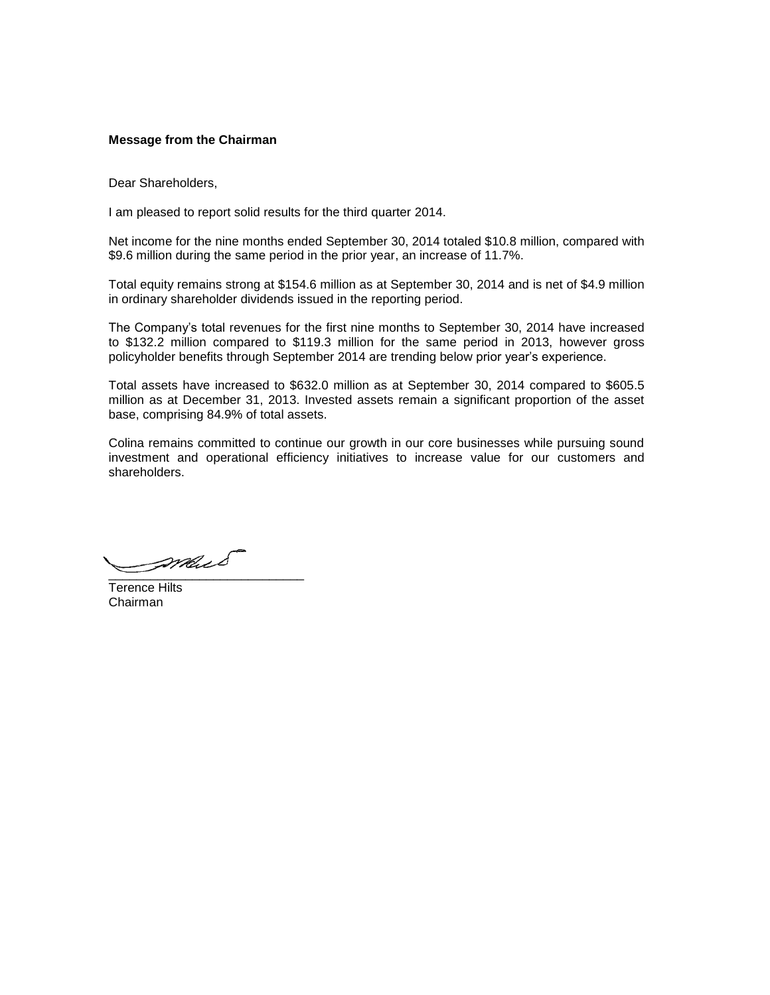## **Message from the Chairman**

Dear Shareholders,

I am pleased to report solid results for the third quarter 2014.

Net income for the nine months ended September 30, 2014 totaled \$10.8 million, compared with \$9.6 million during the same period in the prior year, an increase of 11.7%.

Total equity remains strong at \$154.6 million as at September 30, 2014 and is net of \$4.9 million in ordinary shareholder dividends issued in the reporting period.

The Company's total revenues for the first nine months to September 30, 2014 have increased to \$132.2 million compared to \$119.3 million for the same period in 2013, however gross policyholder benefits through September 2014 are trending below prior year's experience.

Total assets have increased to \$632.0 million as at September 30, 2014 compared to \$605.5 million as at December 31, 2013. Invested assets remain a significant proportion of the asset base, comprising 84.9% of total assets.

Colina remains committed to continue our growth in our core businesses while pursuing sound investment and operational efficiency initiatives to increase value for our customers and shareholders.

\_\_\_\_\_\_\_\_\_\_\_\_\_\_\_\_\_\_\_\_\_\_\_\_\_\_\_\_

Terence Hilts Chairman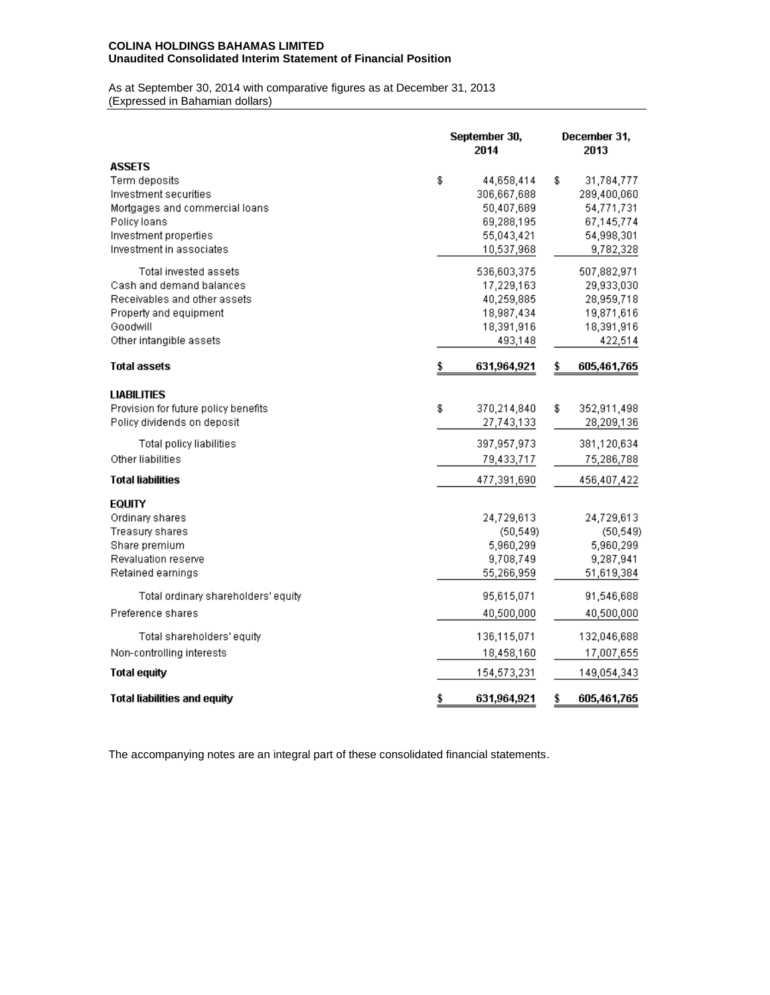## **COLINA HOLDINGS BAHAMAS LIMITED Unaudited Consolidated Interim Statement of Financial Position**

As at September 30, 2014 with comparative figures as at December 31, 2013 (Expressed in Bahamian dollars)

|                                                                                                                                                                | September 30,<br>2014 |                                                                                   | December 31,<br>2013 |                                                                                  |  |  |
|----------------------------------------------------------------------------------------------------------------------------------------------------------------|-----------------------|-----------------------------------------------------------------------------------|----------------------|----------------------------------------------------------------------------------|--|--|
| <b>ASSETS</b><br>Term deposits<br>Investment securities<br>Mortgages and commercial loans<br>Policy loans<br>Investment properties<br>Investment in associates | \$                    | 44,658,414<br>306,667,688<br>50,407,689<br>69,288,195<br>55,043,421<br>10,537,968 | \$                   | 31,784,777<br>289,400,060<br>54,771,731<br>67,145,774<br>54,998,301<br>9,782,328 |  |  |
| Total invested assets<br>Cash and demand balances<br>Receivables and other assets<br>Property and equipment<br>Goodwill<br>Other intangible assets             |                       | 536,603,375<br>17,229,163<br>40,259,885<br>18,987,434<br>18,391,916<br>493,148    |                      | 507,882,971<br>29,933,030<br>28,959,718<br>19,871,616<br>18,391,916<br>422,514   |  |  |
| <b>Total assets</b>                                                                                                                                            | \$                    | 631,964,921                                                                       | \$                   | 605,461,765                                                                      |  |  |
| <b>LIABILITIES</b><br>Provision for future policy benefits<br>Policy dividends on deposit                                                                      | \$                    | 370,214,840<br>27,743,133                                                         | \$                   | 352,911,498<br>28,209,136                                                        |  |  |
| Total policy liabilities<br>Other liabilities                                                                                                                  |                       | 397,957,973<br>79,433,717                                                         |                      | 381,120,634<br>75,286,788                                                        |  |  |
| <b>Total liabilities</b>                                                                                                                                       |                       | 477,391,690                                                                       |                      | 456,407,422                                                                      |  |  |
| <b>EQUITY</b><br>Ordinary shares<br>Treasury shares<br>Share premium<br>Revaluation reserve<br>Retained earnings                                               |                       | 24,729,613<br>(50, 549)<br>5,960,299<br>9,708,749<br>55,266,959                   |                      | 24,729,613<br>(50, 549)<br>5,960,299<br>9,287,941<br>51,619,384                  |  |  |
| Total ordinary shareholders' equity<br>Preference shares                                                                                                       |                       | 95,615,071<br>40,500,000                                                          |                      | 91,546,688<br>40,500,000                                                         |  |  |
| Total shareholders' equity<br>Non-controlling interests                                                                                                        |                       | 136,115,071<br>18,458,160                                                         |                      | 132,046,688<br>17,007,655                                                        |  |  |
| <b>Total equity</b>                                                                                                                                            |                       | 154,573,231                                                                       |                      | 149,054,343                                                                      |  |  |
| Total liabilities and equity                                                                                                                                   | \$                    | 631,964,921                                                                       | \$                   | 605,461,765                                                                      |  |  |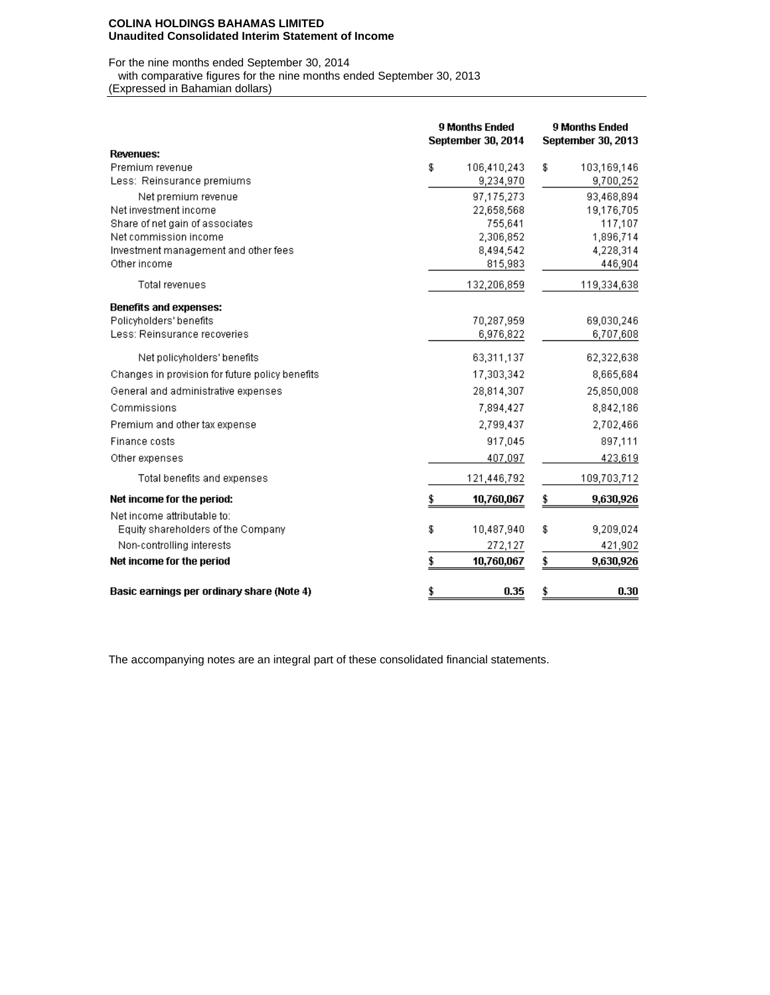#### **COLINA HOLDINGS BAHAMAS LIMITED Unaudited Consolidated Interim Statement of Income**

For the nine months ended September 30, 2014

with comparative figures for the nine months ended September 30, 2013

(Expressed in Bahamian dollars)

|                                                      | <b>9 Months Ended</b><br>September 30, 2014 | <b>9 Months Ended</b><br>September 30, 2013 |  |  |  |
|------------------------------------------------------|---------------------------------------------|---------------------------------------------|--|--|--|
| Revenues:                                            |                                             |                                             |  |  |  |
| Premium revenue                                      | \$<br>106,410,243                           | \$<br>103,169,146                           |  |  |  |
| Less: Reinsurance premiums                           | 9,234,970                                   | 9,700,252                                   |  |  |  |
| Net premium revenue                                  | 97.175.273                                  | 93,468,894                                  |  |  |  |
| Net investment income                                | 22,658,568                                  | 19,176,705                                  |  |  |  |
| Share of net gain of associates                      | 755,641                                     | 117,107                                     |  |  |  |
| Net commission income                                | 2,306,852                                   | 1,896,714                                   |  |  |  |
| Investment management and other fees<br>Other income | 8,494,542                                   | 4,228,314                                   |  |  |  |
|                                                      | 815,983                                     | 446,904                                     |  |  |  |
| Total revenues                                       | 132,206,859                                 | 119,334,638                                 |  |  |  |
| Benefits and expenses:                               |                                             |                                             |  |  |  |
| Policyholders' benefits                              | 70.287.959                                  | 69.030.246                                  |  |  |  |
| Less: Reinsurance recoveries                         | 6,976,822                                   | 6,707,608                                   |  |  |  |
| Net policyholders' benefits                          | 63,311,137                                  | 62,322,638                                  |  |  |  |
| Changes in provision for future policy benefits      | 17,303,342                                  | 8,665,684                                   |  |  |  |
| General and administrative expenses                  | 28,814,307                                  | 25,850,008                                  |  |  |  |
| Commissions                                          | 7,894,427                                   | 8,842,186                                   |  |  |  |
| Premium and other tax expense                        | 2,799,437                                   | 2,702,466                                   |  |  |  |
| Finance costs                                        | 917,045                                     | 897,111                                     |  |  |  |
| Other expenses                                       | 407,097                                     | 423,619                                     |  |  |  |
| Total benefits and expenses                          | 121,446,792                                 | 109,703,712                                 |  |  |  |
| Net income for the period:                           | 10,760,067                                  | \$<br>9,630,926                             |  |  |  |
| Net income attributable to:                          |                                             |                                             |  |  |  |
| Equity shareholders of the Company                   | \$<br>10,487,940                            | \$<br>9,209,024                             |  |  |  |
| Non-controlling interests                            | 272,127                                     | 421,902                                     |  |  |  |
| Net income for the period                            | \$<br>10,760,067                            | \$<br>9,630,926                             |  |  |  |
| Basic earnings per ordinary share (Note 4)           | \$<br>0.35                                  | 0.30<br>\$                                  |  |  |  |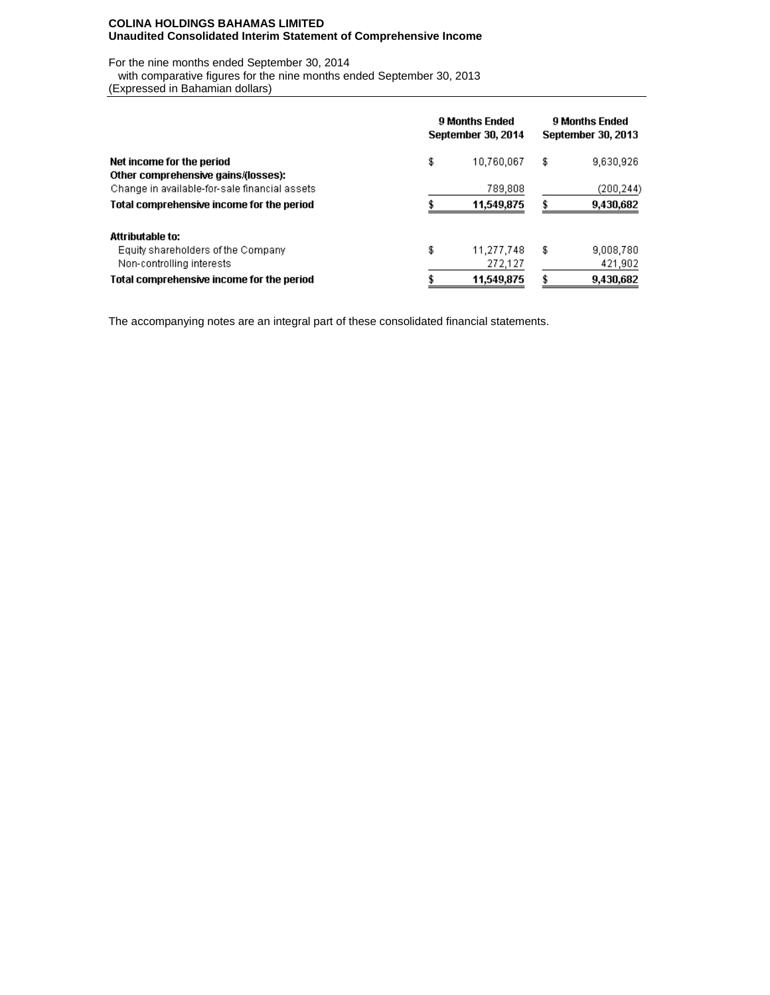### **COLINA HOLDINGS BAHAMAS LIMITED Unaudited Consolidated Interim Statement of Comprehensive Income**

For the nine months ended September 30, 2014

with comparative figures for the nine months ended September 30, 2013

(Expressed in Bahamian dollars)

|                                               | <b>9 Months Ended</b><br>September 30, 2014 |            |    | <b>9 Months Ended</b><br><b>September 30, 2013</b> |  |  |  |
|-----------------------------------------------|---------------------------------------------|------------|----|----------------------------------------------------|--|--|--|
| Net income for the period                     | \$                                          | 10,760,067 | \$ | 9,630,926                                          |  |  |  |
| Other comprehensive gains/(losses):           |                                             |            |    |                                                    |  |  |  |
| Change in available-for-sale financial assets |                                             | 789,808    |    | (200, 244)                                         |  |  |  |
| Total comprehensive income for the period     |                                             | 11,549,875 |    | 9,430,682                                          |  |  |  |
| <b>Attributable to:</b>                       |                                             |            |    |                                                    |  |  |  |
| Equity shareholders of the Company            | \$                                          | 11,277,748 | \$ | 9,008,780                                          |  |  |  |
| Non-controlling interests                     |                                             | 272,127    |    | 421,902                                            |  |  |  |
| Total comprehensive income for the period     |                                             | 11,549,875 |    | 9,430,682                                          |  |  |  |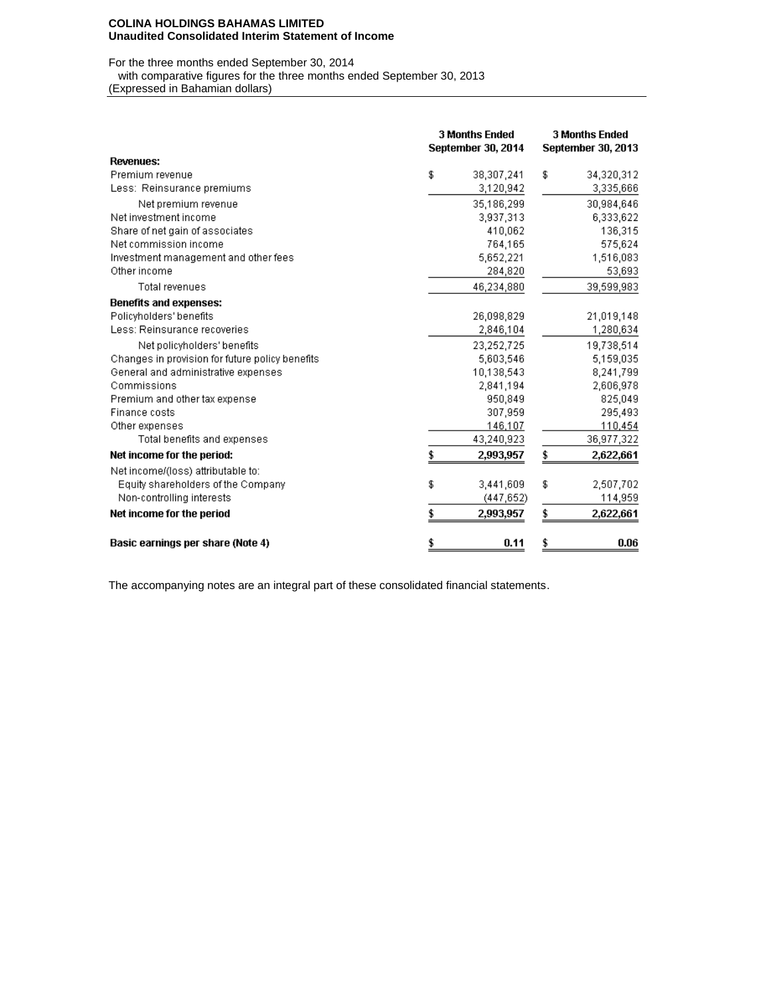#### **COLINA HOLDINGS BAHAMAS LIMITED Unaudited Consolidated Interim Statement of Income**

For the three months ended September 30, 2014

with comparative figures for the three months ended September 30, 2013

(Expressed in Bahamian dollars)

|                                                 | <b>3 Months Ended</b><br>September 30, 2014 |            |    | <b>3 Months Ended</b><br><b>September 30, 2013</b> |  |  |  |
|-------------------------------------------------|---------------------------------------------|------------|----|----------------------------------------------------|--|--|--|
| <b>Revenues:</b>                                |                                             |            |    |                                                    |  |  |  |
| Premium revenue                                 | \$                                          | 38,307,241 | \$ | 34,320,312                                         |  |  |  |
| Less: Reinsurance premiums                      |                                             | 3,120,942  |    | 3,335,666                                          |  |  |  |
| Net premium revenue                             |                                             | 35,186,299 |    | 30,984,646                                         |  |  |  |
| Net investment income                           |                                             | 3,937,313  |    | 6,333,622                                          |  |  |  |
| Share of net gain of associates                 |                                             | 410,062    |    | 136,315                                            |  |  |  |
| Net commission income                           |                                             | 764,165    |    | 575,624                                            |  |  |  |
| Investment management and other fees            |                                             | 5,652,221  |    | 1,516,083                                          |  |  |  |
| Other income                                    |                                             | 284,820    |    | 53,693                                             |  |  |  |
| Total revenues                                  |                                             | 46,234,880 |    | 39,599,983                                         |  |  |  |
| <b>Benefits and expenses:</b>                   |                                             |            |    |                                                    |  |  |  |
| Policyholders' benefits                         |                                             | 26,098,829 |    | 21,019,148                                         |  |  |  |
| Less: Reinsurance recoveries                    |                                             | 2,846,104  |    | 1,280,634                                          |  |  |  |
| Net policyholders' benefits                     |                                             | 23,252,725 |    | 19,738,514                                         |  |  |  |
| Changes in provision for future policy benefits |                                             | 5,603,546  |    | 5,159,035                                          |  |  |  |
| General and administrative expenses             |                                             | 10,138,543 |    | 8,241,799                                          |  |  |  |
| Commissions                                     |                                             | 2,841,194  |    | 2,606,978                                          |  |  |  |
| Premium and other tax expense                   |                                             | 950,849    |    | 825,049                                            |  |  |  |
| Finance costs                                   |                                             | 307,959    |    | 295,493                                            |  |  |  |
| Other expenses                                  |                                             | 146,107    |    | 110,454                                            |  |  |  |
| Total benefits and expenses                     |                                             | 43,240,923 |    | 36,977,322                                         |  |  |  |
| Net income for the period:                      |                                             | 2,993,957  | \$ | 2,622,661                                          |  |  |  |
| Net income/(loss) attributable to:              |                                             |            |    |                                                    |  |  |  |
| Equity shareholders of the Company              | \$                                          | 3,441,609  | \$ | 2,507,702                                          |  |  |  |
| Non-controlling interests                       |                                             | (447, 652) |    | 114,959                                            |  |  |  |
| Net income for the period                       | \$                                          | 2,993,957  | \$ | 2,622,661                                          |  |  |  |
| Basic earnings per share (Note 4)               | \$                                          | 0.11       | \$ | 0.06                                               |  |  |  |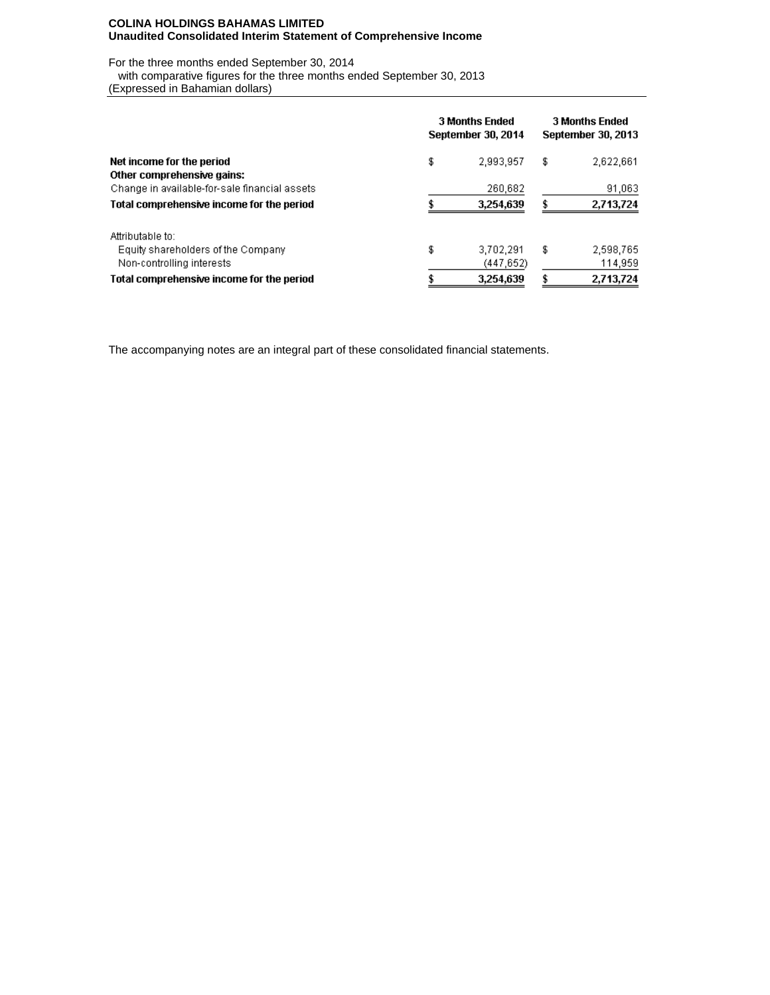### **COLINA HOLDINGS BAHAMAS LIMITED Unaudited Consolidated Interim Statement of Comprehensive Income**

For the three months ended September 30, 2014

 with comparative figures for the three months ended September 30, 2013 (Expressed in Bahamian dollars)

|                                                         | <b>3 Months Ended</b><br>September 30, 2014 | <b>3 Months Ended</b><br>September 30, 2013 |    |           |
|---------------------------------------------------------|---------------------------------------------|---------------------------------------------|----|-----------|
| Net income for the period<br>Other comprehensive gains: | \$                                          | 2,993,957                                   | \$ | 2,622,661 |
| Change in available-for-sale financial assets           |                                             | 260,682                                     |    | 91,063    |
| Total comprehensive income for the period               |                                             | 3,254,639                                   |    | 2,713,724 |
| Attributable to:                                        |                                             |                                             |    |           |
| Equity shareholders of the Company                      | \$                                          | 3,702,291                                   | \$ | 2,598,765 |
| Non-controlling interests                               |                                             | (447, 652)                                  |    | 114,959   |
| Total comprehensive income for the period               |                                             | 3,254,639                                   |    | 2,713,724 |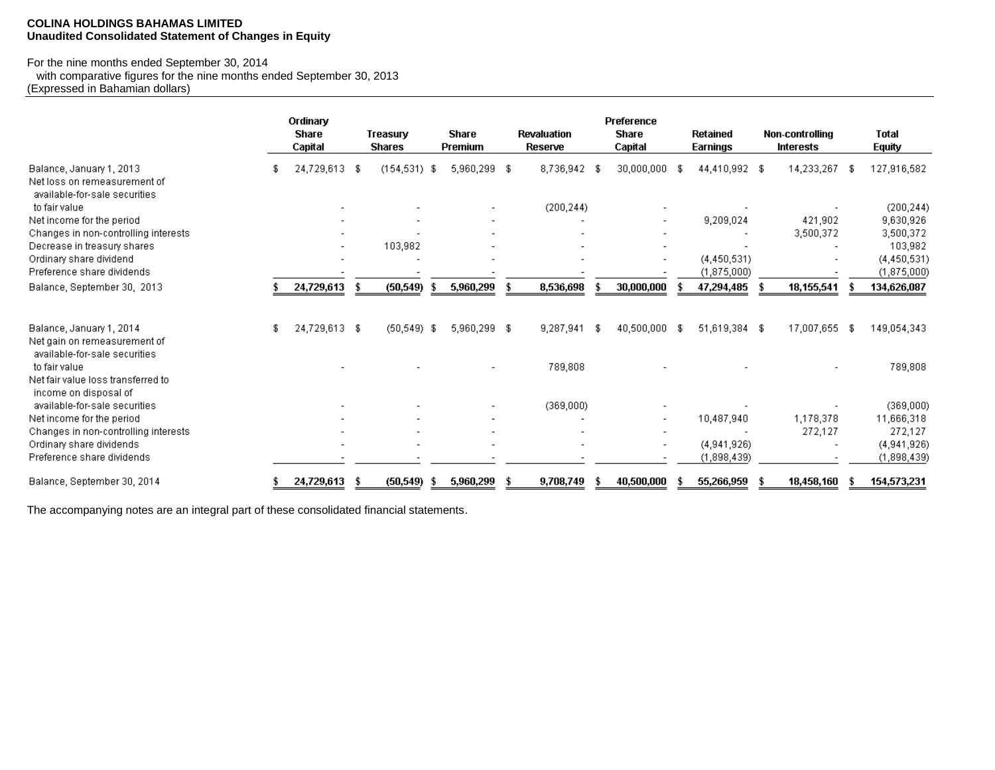### **COLINA HOLDINGS BAHAMAS LIMITED Unaudited Consolidated Statement of Changes in Equity**

# For the nine months ended September 30, 2014

 with comparative figures for the nine months ended September 30, 2013 (Expressed in Bahamian dollars)

|                                                                                           | Ordinary<br><b>Share</b><br>Capital |      | Treasury<br><b>Shares</b> | <b>Share</b><br><b>Premium</b> | <b>Revaluation</b><br><b>Reserve</b> |      | Preference<br><b>Share</b><br>Capital |     | Retained<br>Earnings | <b>Non-controlling</b><br><b>Interests</b> |    | <b>Total</b><br><b>Equity</b> |
|-------------------------------------------------------------------------------------------|-------------------------------------|------|---------------------------|--------------------------------|--------------------------------------|------|---------------------------------------|-----|----------------------|--------------------------------------------|----|-------------------------------|
| Balance, January 1, 2013<br>Net loss on remeasurement of<br>available-for-sale securities | 24,729,613                          | - \$ | $(154, 531)$ \$           | 5,960,299 \$                   | 8,736,942                            | - \$ | 30,000,000                            | -96 | 44,410,992 \$        | 14,233,267                                 | Æ  | 127,916,582                   |
| to fair value                                                                             |                                     |      |                           |                                | (200, 244)                           |      |                                       |     |                      |                                            |    | (200, 244)                    |
| Net income for the period                                                                 |                                     |      |                           |                                |                                      |      |                                       |     | 9,209,024            | 421,902                                    |    | 9,630,926                     |
| Changes in non-controlling interests                                                      |                                     |      |                           |                                |                                      |      |                                       |     |                      | 3,500,372                                  |    | 3,500,372                     |
| Decrease in treasury shares                                                               |                                     |      | 103,982                   |                                |                                      |      |                                       |     |                      |                                            |    | 103,982                       |
| Ordinary share dividend                                                                   |                                     |      |                           |                                |                                      |      |                                       |     | (4,450,531)          |                                            |    | (4,450,531)                   |
| Preference share dividends                                                                |                                     |      |                           |                                |                                      |      |                                       |     | (1,875,000)          |                                            |    | (1,875,000)                   |
| Balance, September 30, 2013                                                               | 24,729,613                          |      | (50, 549)                 | 5,960,299                      | 8,536,698                            |      | 30,000,000                            |     | 47,294,485           | 18,155,541                                 |    | 134,626,087                   |
| Balance, January 1, 2014<br>Net gain on remeasurement of<br>available-for-sale securities | 24,729,613 \$                       |      | $(50, 549)$ \$            | 5,960,299 \$                   | 9,287,941                            | -S   | 40,500,000                            |     | 51,619,384 \$        | 17,007,655                                 | -8 | 149,054,343                   |
| to fair value<br>Net fair value loss transferred to                                       |                                     |      |                           |                                | 789,808                              |      |                                       |     |                      |                                            |    | 789,808                       |
| income on disposal of<br>available-for-sale securities                                    |                                     |      |                           |                                | (369,000)                            |      |                                       |     |                      |                                            |    | (369,000)                     |
| Net income for the period                                                                 |                                     |      |                           |                                |                                      |      |                                       |     | 10,487,940           | 1,178,378                                  |    | 11,666,318                    |
| Changes in non-controlling interests                                                      |                                     |      |                           |                                |                                      |      |                                       |     |                      | 272,127                                    |    | 272,127                       |
| Ordinary share dividends                                                                  |                                     |      |                           |                                |                                      |      | $\overline{\phantom{0}}$              |     | (4,941,926)          |                                            |    | (4,941,926)                   |
| Preference share dividends                                                                |                                     |      |                           |                                |                                      |      |                                       |     | (1,898,439)          |                                            |    | (1,898,439)                   |
| Balance, September 30, 2014                                                               | 24,729,613                          | \$   | (50, 549)                 | 5,960,299                      | 9,708,749                            |      | 40,500,000                            |     | 55,266,959           | 18,458,160                                 |    | 154,573,231                   |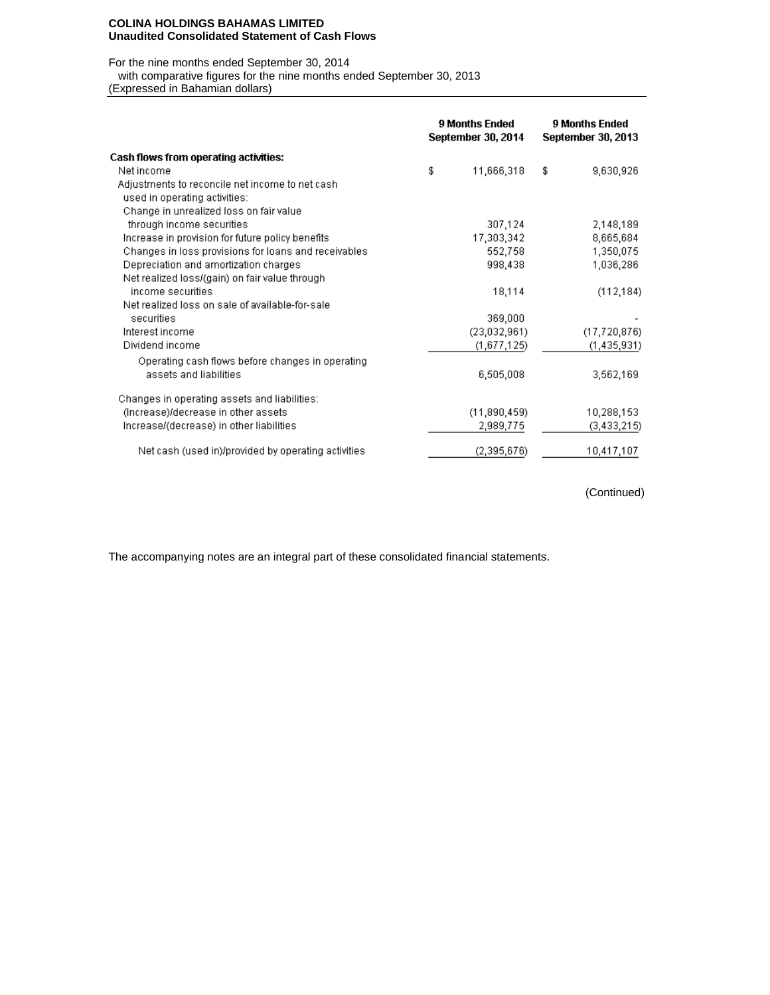#### **COLINA HOLDINGS BAHAMAS LIMITED Unaudited Consolidated Statement of Cash Flows**

For the nine months ended September 30, 2014

with comparative figures for the nine months ended September 30, 2013

(Expressed in Bahamian dollars)

|                                                      | 9 Months Ended<br>September 30, 2014 | 9 Months Ended<br>September 30, 2013 |                |  |
|------------------------------------------------------|--------------------------------------|--------------------------------------|----------------|--|
| Cash flows from operating activities:                |                                      |                                      |                |  |
| Net income                                           | \$<br>11,666,318                     | \$                                   | 9,630,926      |  |
| Adjustments to reconcile net income to net cash.     |                                      |                                      |                |  |
| used in operating activities:                        |                                      |                                      |                |  |
| Change in unrealized loss on fair value              |                                      |                                      |                |  |
| through income securities                            | 307,124                              |                                      | 2,148,189      |  |
| Increase in provision for future policy benefits     | 17,303,342                           |                                      | 8,665,684      |  |
| Changes in loss provisions for loans and receivables | 552,758                              |                                      | 1,350,075      |  |
| Depreciation and amortization charges                | 998,438                              |                                      | 1,036,286      |  |
| Net realized loss/(gain) on fair value through       |                                      |                                      |                |  |
| income securities.                                   | 18,114                               |                                      | (112, 184)     |  |
| Net realized loss on sale of available-for-sale      |                                      |                                      |                |  |
| securities                                           | 369,000                              |                                      |                |  |
| Interest income                                      | (23,032,961)                         |                                      | (17, 720, 876) |  |
| Dividend income                                      | (1,677,125)                          |                                      | (1, 435, 931)  |  |
| Operating cash flows before changes in operating     |                                      |                                      |                |  |
| assets and liabilities                               | 6,505,008                            |                                      | 3,562,169      |  |
| Changes in operating assets and liabilities:         |                                      |                                      |                |  |
| (Increase)/decrease in other assets                  | (11,890,459)                         |                                      | 10,288,153     |  |
| Increase/(decrease) in other liabilities             | 2,989,775                            |                                      | (3, 433, 215)  |  |
| Net cash (used in)/provided by operating activities  | (2,395,676)                          |                                      | 10,417,107     |  |

(Continued)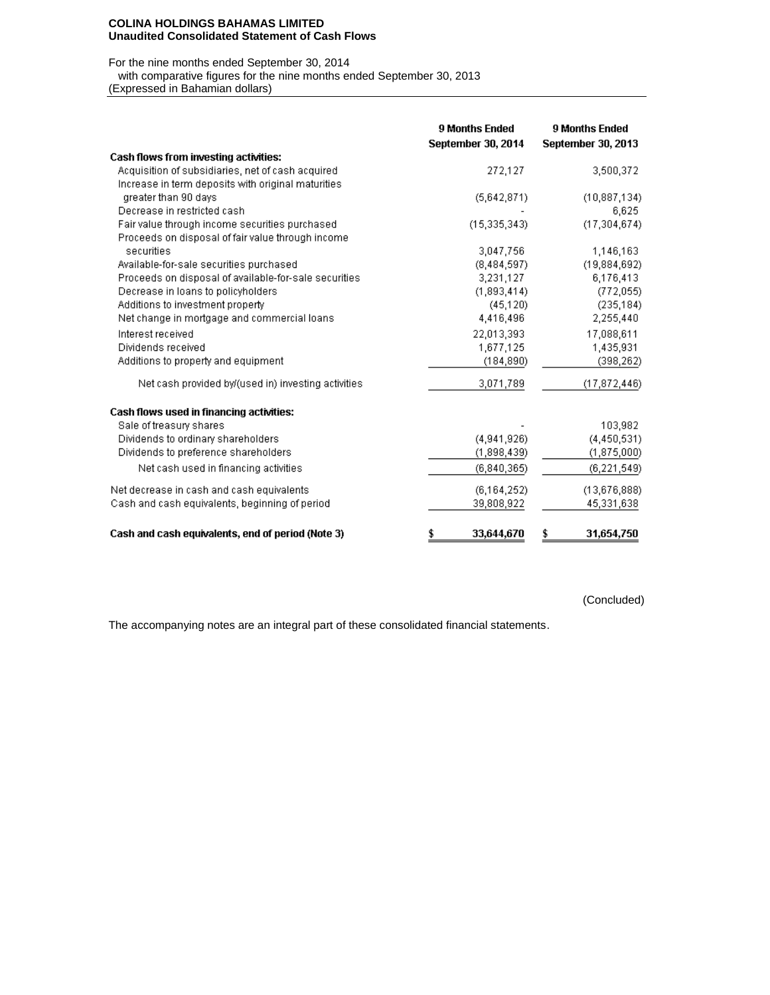#### **COLINA HOLDINGS BAHAMAS LIMITED Unaudited Consolidated Statement of Cash Flows**

For the nine months ended September 30, 2014

with comparative figures for the nine months ended September 30, 2013

(Expressed in Bahamian dollars)

|                                                       | <b>9 Months Ended</b> | <b>9 Months Ended</b><br><b>September 30, 2013</b> |
|-------------------------------------------------------|-----------------------|----------------------------------------------------|
| <b>Cash flows from investing activities:</b>          | September 30, 2014    |                                                    |
| Acquisition of subsidiaries, net of cash acquired     | 272,127               | 3,500,372                                          |
| Increase in term deposits with original maturities    |                       |                                                    |
| greater than 90 days                                  | (5,642,871)           | (10, 887, 134)                                     |
| Decrease in restricted cash                           |                       | 6,625                                              |
| Fair value through income securities purchased        | (15, 335, 343)        | (17, 304, 674)                                     |
| Proceeds on disposal of fair value through income     |                       |                                                    |
| securities                                            | 3,047,756             | 1,146,163                                          |
| Available-for-sale securities purchased               | (8,484,597)           | (19,884,692)                                       |
| Proceeds on disposal of available-for-sale securities | 3,231,127             | 6,176,413                                          |
| Decrease in loans to policyholders                    | (1,893,414)           | (772,055)                                          |
| Additions to investment property                      | (45, 120)             | (235, 184)                                         |
| Net change in mortgage and commercial loans           | 4,416,496             | 2,255,440                                          |
| Interest received                                     | 22,013,393            | 17,088,611                                         |
| Dividends received                                    | 1,677,125             | 1,435,931                                          |
| Additions to property and equipment                   | (184, 890)            | (398, 262)                                         |
| Net cash provided by/(used in) investing activities   | 3,071,789             | (17, 872, 446)                                     |
| Cash flows used in financing activities:              |                       |                                                    |
| Sale of treasury shares                               |                       | 103,982                                            |
| Dividends to ordinary shareholders                    | (4.941.926)           | (4, 450, 531)                                      |
| Dividends to preference shareholders                  | (1,898,439)           | (1,875,000)                                        |
| Net cash used in financing activities                 | (6,840,365)           | (6, 221, 549)                                      |
| Net decrease in cash and cash equivalents             | (6, 164, 252)         | (13,676,888)                                       |
| Cash and cash equivalents, beginning of period        | 39,808,922            | 45,331,638                                         |
| Cash and cash equivalents, end of period (Note 3)     | \$<br>33,644,670      | 31,654,750<br>\$                                   |

(Concluded)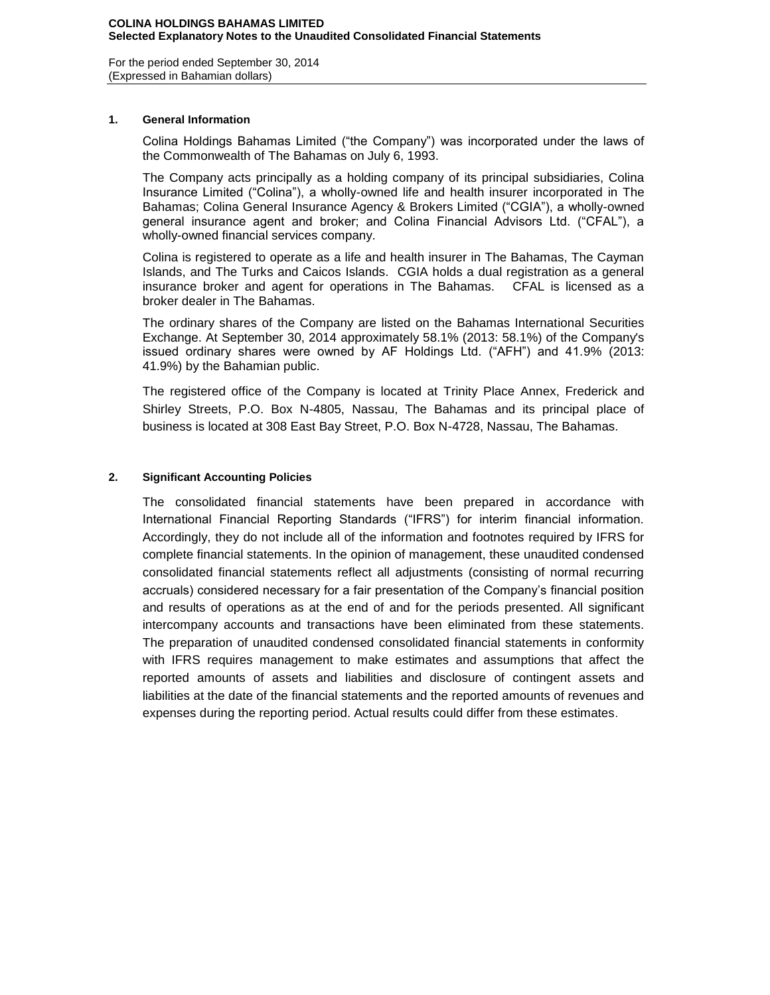For the period ended September 30, 2014 (Expressed in Bahamian dollars)

## **1. General Information**

Colina Holdings Bahamas Limited ("the Company") was incorporated under the laws of the Commonwealth of The Bahamas on July 6, 1993.

The Company acts principally as a holding company of its principal subsidiaries, Colina Insurance Limited ("Colina"), a wholly-owned life and health insurer incorporated in The Bahamas; Colina General Insurance Agency & Brokers Limited ("CGIA"), a wholly-owned general insurance agent and broker; and Colina Financial Advisors Ltd. ("CFAL"), a wholly-owned financial services company.

Colina is registered to operate as a life and health insurer in The Bahamas, The Cayman Islands, and The Turks and Caicos Islands. CGIA holds a dual registration as a general insurance broker and agent for operations in The Bahamas. CFAL is licensed as a broker dealer in The Bahamas.

The ordinary shares of the Company are listed on the Bahamas International Securities Exchange. At September 30, 2014 approximately 58.1% (2013: 58.1%) of the Company's issued ordinary shares were owned by AF Holdings Ltd. ("AFH") and 41.9% (2013: 41.9%) by the Bahamian public.

The registered office of the Company is located at Trinity Place Annex, Frederick and Shirley Streets, P.O. Box N-4805, Nassau, The Bahamas and its principal place of business is located at 308 East Bay Street, P.O. Box N-4728, Nassau, The Bahamas.

## **2. Significant Accounting Policies**

The consolidated financial statements have been prepared in accordance with International Financial Reporting Standards ("IFRS") for interim financial information. Accordingly, they do not include all of the information and footnotes required by IFRS for complete financial statements. In the opinion of management, these unaudited condensed consolidated financial statements reflect all adjustments (consisting of normal recurring accruals) considered necessary for a fair presentation of the Company's financial position and results of operations as at the end of and for the periods presented. All significant intercompany accounts and transactions have been eliminated from these statements. The preparation of unaudited condensed consolidated financial statements in conformity with IFRS requires management to make estimates and assumptions that affect the reported amounts of assets and liabilities and disclosure of contingent assets and liabilities at the date of the financial statements and the reported amounts of revenues and expenses during the reporting period. Actual results could differ from these estimates.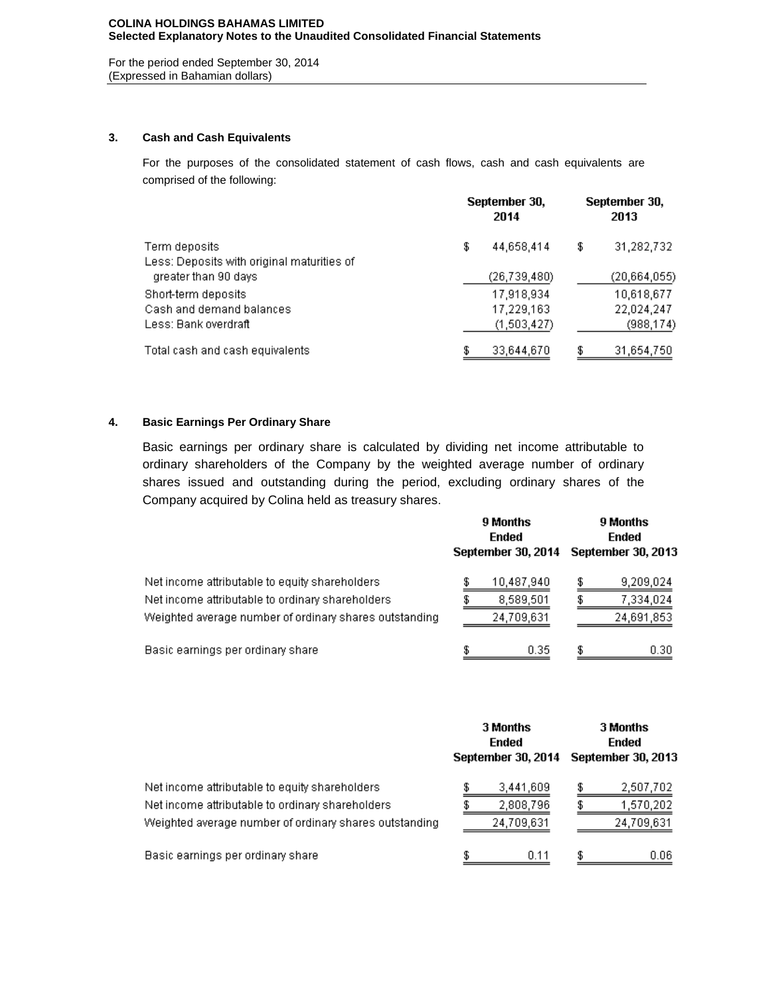For the period ended September 30, 2014 (Expressed in Bahamian dollars)

## **3. Cash and Cash Equivalents**

For the purposes of the consolidated statement of cash flows, cash and cash equivalents are comprised of the following:

|                                            | September 30,<br>2014 |                |    | September 30,<br>2013 |  |  |  |
|--------------------------------------------|-----------------------|----------------|----|-----------------------|--|--|--|
| Term deposits                              | \$                    | 44,658,414     | \$ | 31,282,732            |  |  |  |
| Less: Deposits with original maturities of |                       |                |    |                       |  |  |  |
| greater than 90 days                       |                       | (26, 739, 480) |    | (20,664,055)          |  |  |  |
| Short-term deposits                        |                       | 17,918,934     |    | 10,618,677            |  |  |  |
| Cash and demand balances.                  |                       | 17,229,163     |    | 22,024,247            |  |  |  |
| Less: Bank overdraft i                     |                       | (1,503,427)    |    | (988, 174)            |  |  |  |
| Total cash and cash equivalents.           |                       | 33,644,670     |    | 31,654,750            |  |  |  |

## **4. Basic Earnings Per Ordinary Share**

Basic earnings per ordinary share is calculated by dividing net income attributable to ordinary shareholders of the Company by the weighted average number of ordinary shares issued and outstanding during the period, excluding ordinary shares of the Company acquired by Colina held as treasury shares.

|                                                                                                                                                              | 9 Months<br>Ended<br>September 30, 2014 | 9 Months<br>Ended<br>September 30, 2013 |  |  |  |
|--------------------------------------------------------------------------------------------------------------------------------------------------------------|-----------------------------------------|-----------------------------------------|--|--|--|
| Net income attributable to equity shareholders<br>Net income attributable to ordinary shareholders<br>Weighted average number of ordinary shares outstanding | 10,487,940<br>8,589,501<br>24,709,631   | 9,209,024<br>7,334,024<br>24,691,853    |  |  |  |
| Basic earnings per ordinary share                                                                                                                            | 0.35                                    | 0.30                                    |  |  |  |

|                                                                                                                                                              | 3 Months<br>Ended<br>September 30, 2014 |   | 3 Months<br>Ended<br>September 30, 2013 |
|--------------------------------------------------------------------------------------------------------------------------------------------------------------|-----------------------------------------|---|-----------------------------------------|
| Net income attributable to equity shareholders<br>Net income attributable to ordinary shareholders<br>Weighted average number of ordinary shares outstanding | 3,441,609<br>2,808,796<br>24,709,631    |   | 2,507,702<br>1,570,202<br>24,709,631    |
| Basic earnings per ordinary share                                                                                                                            | 0.11                                    | S | 0.06                                    |